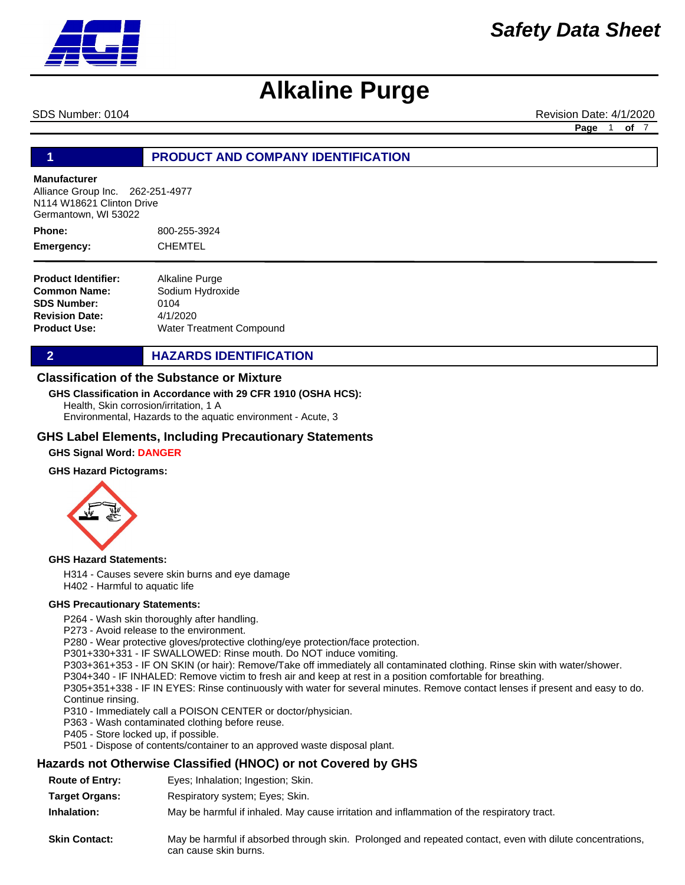

SDS Number: 0104 **Revision Date: 4/1/2020** Revision Date: 4/1/2020

**Page** 1 **of** 7

#### **1 PRODUCT AND COMPANY IDENTIFICATION**

#### **Manufacturer**

Alliance Group Inc. 262-251-4977 N114 W18621 Clinton Drive Germantown, WI 53022

800-255-3924 CHEMTEL **Phone: Emergency:**

**Product Identifier: Common Name: SDS Number: Revision Date: Product Use:** Alkaline Purge Sodium Hydroxide 0104 4/1/2020 Water Treatment Compound

**2 HAZARDS IDENTIFICATION** 

#### **Classification of the Substance or Mixture**

#### **GHS Classification in Accordance with 29 CFR 1910 (OSHA HCS):**

Health, Skin corrosion/irritation, 1 A Environmental, Hazards to the aquatic environment - Acute, 3

#### **GHS Label Elements, Including Precautionary Statements**

#### **GHS Signal Word: DANGER**

#### **GHS Hazard Pictograms:**



#### **GHS Hazard Statements:**

H314 - Causes severe skin burns and eye damage H402 - Harmful to aquatic life

#### **GHS Precautionary Statements:**

P264 - Wash skin thoroughly after handling.

P273 - Avoid release to the environment.

P280 - Wear protective gloves/protective clothing/eye protection/face protection.

P301+330+331 - IF SWALLOWED: Rinse mouth. Do NOT induce vomiting.

P303+361+353 - IF ON SKIN (or hair): Remove/Take off immediately all contaminated clothing. Rinse skin with water/shower.

P304+340 - IF INHALED: Remove victim to fresh air and keep at rest in a position comfortable for breathing.

P305+351+338 - IF IN EYES: Rinse continuously with water for several minutes. Remove contact lenses if present and easy to do. Continue rinsing.

P310 - Immediately call a POISON CENTER or doctor/physician.

P363 - Wash contaminated clothing before reuse.

P405 - Store locked up, if possible.

P501 - Dispose of contents/container to an approved waste disposal plant.

#### **Hazards not Otherwise Classified (HNOC) or not Covered by GHS**

- **Route of Entry:** Eyes; Inhalation; Ingestion; Skin.
- **Target Organs:** Respiratory system; Eyes; Skin.

**Inhalation:** May be harmful if inhaled. May cause irritation and inflammation of the respiratory tract.

**Skin Contact:** May be harmful if absorbed through skin. Prolonged and repeated contact, even with dilute concentrations, can cause skin burns.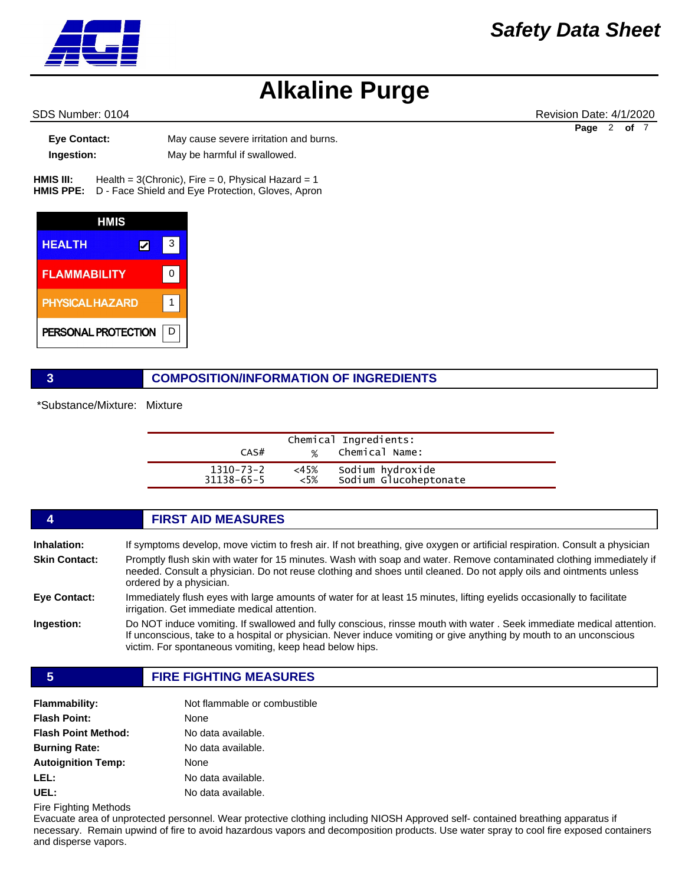SDS Number: 0104 Revision Date: 4/1/2020 **Page** 2 **of** 7

**Eye Contact:** May cause severe irritation and burns. **Ingestion:** May be harmful if swallowed.

Health =  $3$ (Chronic), Fire = 0, Physical Hazard = 1 HMIS PPE: D - Face Shield and Eye Protection, Gloves, Apron **HMIS III:** 



#### **3 COMPOSITION/INFORMATION OF INGREDIENTS**

\*Substance/Mixture: Mixture

| CAS#                          |                | Chemical Ingredients:<br>% Chemical Name: |  |
|-------------------------------|----------------|-------------------------------------------|--|
| 1310-73-2<br>$31138 - 65 - 5$ | <45%<br>$<5\%$ | Sodium hydroxide<br>Sodium Glucoheptonate |  |

|                      | <b>FIRST AID MEASURES</b>                                                                                                                                                                                                                                                                             |
|----------------------|-------------------------------------------------------------------------------------------------------------------------------------------------------------------------------------------------------------------------------------------------------------------------------------------------------|
| Inhalation:          | If symptoms develop, move victim to fresh air. If not breathing, give oxygen or artificial respiration. Consult a physician                                                                                                                                                                           |
| <b>Skin Contact:</b> | Promptly flush skin with water for 15 minutes. Wash with soap and water. Remove contaminated clothing immediately if<br>needed. Consult a physician. Do not reuse clothing and shoes until cleaned. Do not apply oils and ointments unless<br>ordered by a physician.                                 |
| Eye Contact:         | Immediately flush eves with large amounts of water for at least 15 minutes, lifting evelids occasionally to facilitate<br>irrigation. Get immediate medical attention.                                                                                                                                |
| Ingestion:           | Do NOT induce vomiting. If swallowed and fully conscious, rinsse mouth with water. Seek immediate medical attention.<br>If unconscious, take to a hospital or physician. Never induce vomiting or give anything by mouth to an unconscious<br>victim. For spontaneous vomiting, keep head below hips. |

**5 FIRE FIGHTING MEASURES**

| <b>Flammability:</b>       | Not flammable or combustible |  |
|----------------------------|------------------------------|--|
| <b>Flash Point:</b>        | None                         |  |
| <b>Flash Point Method:</b> | No data available.           |  |
| <b>Burning Rate:</b>       | No data available.           |  |
| <b>Autoignition Temp:</b>  | None                         |  |
| LEL:                       | No data available.           |  |
| UEL:                       | No data available.           |  |

Fire Fighting Methods

Evacuate area of unprotected personnel. Wear protective clothing including NIOSH Approved self- contained breathing apparatus if necessary. Remain upwind of fire to avoid hazardous vapors and decomposition products. Use water spray to cool fire exposed containers and disperse vapors.

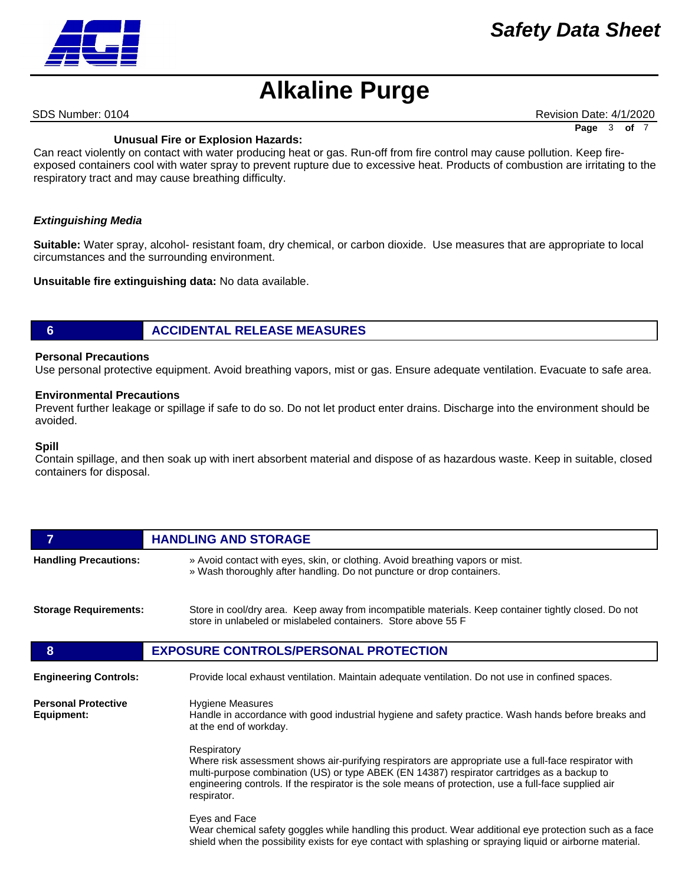SDS Number: 0104 **Revision Date: 4/1/2020** Revision Date: 4/1/2020

**Page** 3 **of** 7

#### **Unusual Fire or Explosion Hazards:**

Can react violently on contact with water producing heat or gas. Run-off from fire control may cause pollution. Keep fireexposed containers cool with water spray to prevent rupture due to excessive heat. Products of combustion are irritating to the respiratory tract and may cause breathing difficulty.

#### *Extinguishing Media*

**Suitable:** Water spray, alcohol- resistant foam, dry chemical, or carbon dioxide. Use measures that are appropriate to local circumstances and the surrounding environment.

**Unsuitable fire extinguishing data:** No data available.

### **6 ACCIDENTAL RELEASE MEASURES**

#### **Personal Precautions**

Use personal protective equipment. Avoid breathing vapors, mist or gas. Ensure adequate ventilation. Evacuate to safe area.

#### **Environmental Precautions**

Prevent further leakage or spillage if safe to do so. Do not let product enter drains. Discharge into the environment should be avoided.

#### **Spill**

Contain spillage, and then soak up with inert absorbent material and dispose of as hazardous waste. Keep in suitable, closed containers for disposal.

| 7                                        | <b>HANDLING AND STORAGE</b>                                                                                                                                                                                                                                                                                                                 |  |  |
|------------------------------------------|---------------------------------------------------------------------------------------------------------------------------------------------------------------------------------------------------------------------------------------------------------------------------------------------------------------------------------------------|--|--|
| <b>Handling Precautions:</b>             | » Avoid contact with eyes, skin, or clothing. Avoid breathing vapors or mist.<br>» Wash thoroughly after handling. Do not puncture or drop containers.                                                                                                                                                                                      |  |  |
| <b>Storage Requirements:</b>             | Store in cool/dry area. Keep away from incompatible materials. Keep container tightly closed. Do not<br>store in unlabeled or mislabeled containers. Store above 55 F                                                                                                                                                                       |  |  |
| 8                                        | <b>EXPOSURE CONTROLS/PERSONAL PROTECTION</b>                                                                                                                                                                                                                                                                                                |  |  |
| <b>Engineering Controls:</b>             | Provide local exhaust ventilation. Maintain adequate ventilation. Do not use in confined spaces.                                                                                                                                                                                                                                            |  |  |
| <b>Personal Protective</b><br>Equipment: | <b>Hygiene Measures</b><br>Handle in accordance with good industrial hygiene and safety practice. Wash hands before breaks and<br>at the end of workday.                                                                                                                                                                                    |  |  |
|                                          | Respiratory<br>Where risk assessment shows air-purifying respirators are appropriate use a full-face respirator with<br>multi-purpose combination (US) or type ABEK (EN 14387) respirator cartridges as a backup to<br>engineering controls. If the respirator is the sole means of protection, use a full-face supplied air<br>respirator. |  |  |
|                                          | Eyes and Face<br>Wear chemical safety goggles while handling this product. Wear additional eye protection such as a face<br>shield when the possibility exists for eye contact with splashing or spraying liquid or airborne material.                                                                                                      |  |  |

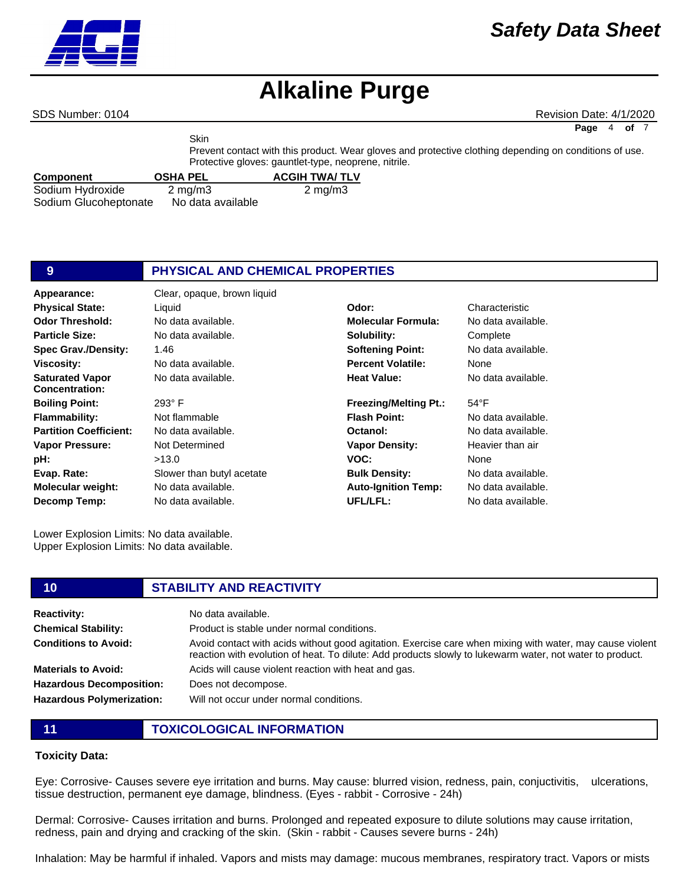SDS Number: 0104 **Revision Date: 4/1/2020** Revision Date: 4/1/2020

**Page** 4 **of** 7

|                       | <b>Skin</b>                                          |                      |                                                                                                        |  |
|-----------------------|------------------------------------------------------|----------------------|--------------------------------------------------------------------------------------------------------|--|
|                       |                                                      |                      | Prevent contact with this product. Wear gloves and protective clothing depending on conditions of use. |  |
|                       | Protective gloves: gauntlet-type, neoprene, nitrile. |                      |                                                                                                        |  |
| <b>Component</b>      | <b>OSHA PEL</b>                                      | <b>ACGIH TWA/TLV</b> |                                                                                                        |  |
| Sodium Hydroxide      | $2 \text{ mg/m}$                                     | $2 \text{ mg/m}$     |                                                                                                        |  |
| Sodium Glucoheptonate | No data available                                    |                      |                                                                                                        |  |

| PHYSICAL AND CHEMICAL PROPERTIES |
|----------------------------------|
|                                  |

**Appearance:** Clear, opaque, brown liquid **Odor Threshold: Particle Size: Spec Grav./Density: Viscosity: Saturated Vapor Concentration: Boiling Point: Flammability: Partition Coefficient: Vapor Pressure: pH: Evap. Rate: Molecular weight: Decomp Temp: Physical State:** Liquid **Odor:** Characteristic

No data available. 1.46 No data available. No data available. 293° F Not flammable No data available. Not Determined >13.0 Slower than butyl acetate

No data available. No data available.

No data available. **Molecular Formula:** No data available. **Solubility: Softening Point: Percent Volatile: Heat Value: Freezing/Melting Pt.: Flash Point: Octanol: Vapor Density: VOC:**

> **Bulk Density: Auto-Ignition Temp:**

**UFL/LFL:**

Complete No data available. None No data available. 54°F No data available. No data available. Heavier than air None No data available.

No data available. No data available.

Lower Explosion Limits: No data available. Upper Explosion Limits: No data available.

### **10 STABILITY AND REACTIVITY**

| <b>Reactivity:</b>               | No data available.                                                                                                                                                                                                   |
|----------------------------------|----------------------------------------------------------------------------------------------------------------------------------------------------------------------------------------------------------------------|
| <b>Chemical Stability:</b>       | Product is stable under normal conditions.                                                                                                                                                                           |
| <b>Conditions to Avoid:</b>      | Avoid contact with acids without good agitation. Exercise care when mixing with water, may cause violent<br>reaction with evolution of heat. To dilute: Add products slowly to lukewarm water, not water to product. |
| <b>Materials to Avoid:</b>       | Acids will cause violent reaction with heat and gas.                                                                                                                                                                 |
| <b>Hazardous Decomposition:</b>  | Does not decompose.                                                                                                                                                                                                  |
| <b>Hazardous Polymerization:</b> | Will not occur under normal conditions.                                                                                                                                                                              |

**11 TOXICOLOGICAL INFORMATION**

#### **Toxicity Data:**

Eye: Corrosive- Causes severe eye irritation and burns. May cause: blurred vision, redness, pain, conjuctivitis, ulcerations, tissue destruction, permanent eye damage, blindness. (Eyes - rabbit - Corrosive - 24h)

Dermal: Corrosive- Causes irritation and burns. Prolonged and repeated exposure to dilute solutions may cause irritation, redness, pain and drying and cracking of the skin. (Skin - rabbit - Causes severe burns - 24h)

Inhalation: May be harmful if inhaled. Vapors and mists may damage: mucous membranes, respiratory tract. Vapors or mists

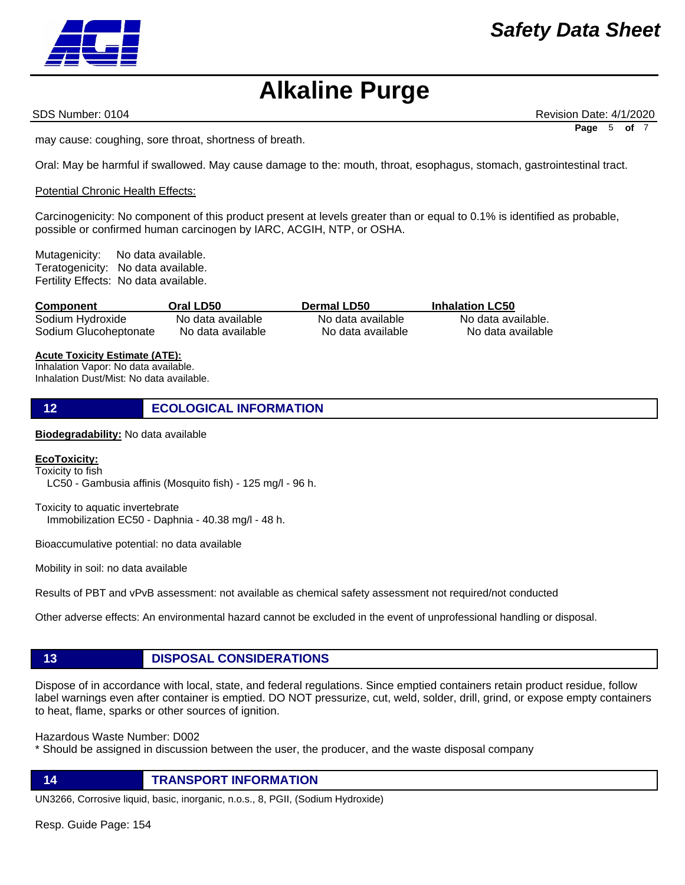SDS Number: 0104 **Revision Date: 4/1/2020** Revision Date: 4/1/2020 **Page** 5 **of** 7

may cause: coughing, sore throat, shortness of breath.

Oral: May be harmful if swallowed. May cause damage to the: mouth, throat, esophagus, stomach, gastrointestinal tract.

#### Potential Chronic Health Effects:

Carcinogenicity: No component of this product present at levels greater than or equal to 0.1% is identified as probable, possible or confirmed human carcinogen by IARC, ACGIH, NTP, or OSHA.

Mutagenicity: No data available. Teratogenicity: No data available. Fertility Effects: No data available.

| <b>Component</b>      | Oral LD50         | <b>Dermal LD50</b> | <b>Inhalation LC50</b> |
|-----------------------|-------------------|--------------------|------------------------|
| Sodium Hydroxide      | No data available | No data available  | No data available.     |
| Sodium Glucoheptonate | No data available | No data available  | No data available      |

#### **Acute Toxicity Estimate (ATE):**

Inhalation Vapor: No data available. Inhalation Dust/Mist: No data available.

**12 ECOLOGICAL INFORMATION** 

#### **Biodegradability:** No data available

#### **EcoToxicity:**

Toxicity to fish

LC50 - Gambusia affinis (Mosquito fish) - 125 mg/l - 96 h.

Toxicity to aquatic invertebrate Immobilization EC50 - Daphnia - 40.38 mg/l - 48 h.

Bioaccumulative potential: no data available

Mobility in soil: no data available

Results of PBT and vPvB assessment: not available as chemical safety assessment not required/not conducted

Other adverse effects: An environmental hazard cannot be excluded in the event of unprofessional handling or disposal.

#### **13 DISPOSAL CONSIDERATIONS**

Dispose of in accordance with local, state, and federal regulations. Since emptied containers retain product residue, follow label warnings even after container is emptied. DO NOT pressurize, cut, weld, solder, drill, grind, or expose empty containers to heat, flame, sparks or other sources of ignition.

Hazardous Waste Number: D002

\* Should be assigned in discussion between the user, the producer, and the waste disposal company

**14 TRANSPORT INFORMATION**

UN3266, Corrosive liquid, basic, inorganic, n.o.s., 8, PGII, (Sodium Hydroxide)

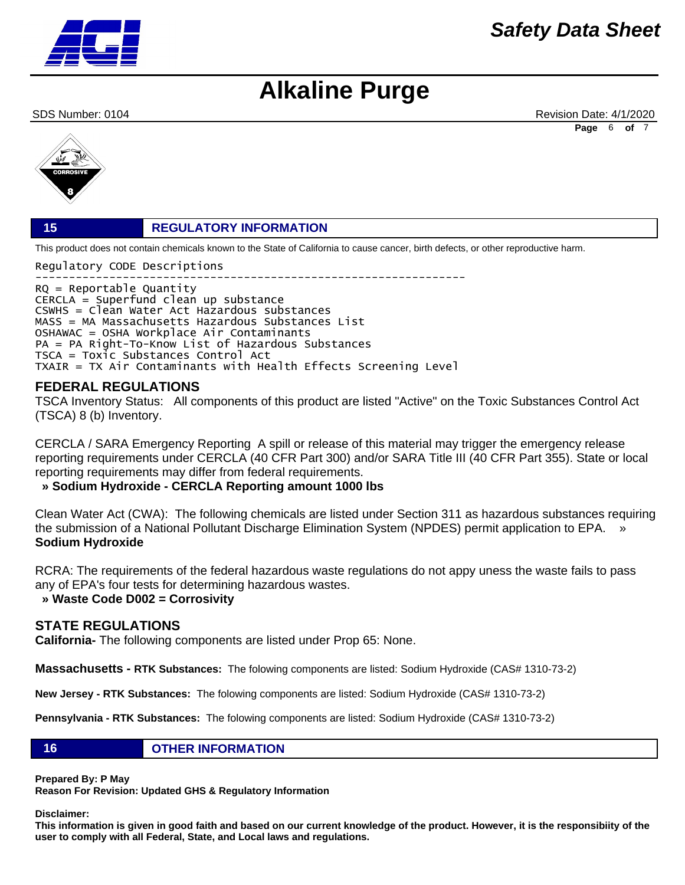

### *Safety Data Sheet*

### **Alkaline Purge**

SDS Number: 0104 **Revision Date: 4/1/2020** Revision Date: 4/1/2020 **Page** 6 **of** 7



#### **15 REGULATORY INFORMATION**

This product does not contain chemicals known to the State of California to cause cancer, birth defects, or other reproductive harm.

Regulatory CODE Descriptions

---------------------------------------------------------------- RQ = Reportable Quantity CERCLA = Superfund clean up substance CSWHS = Clean Water Act Hazardous substances MASS = MA Massachusetts Hazardous Substances List OSHAWAC = OSHA Workplace Air Contaminants PA = PA Right-To-Know List of Hazardous Substances TSCA = Toxic Substances Control Act TXAIR = TX Air Contaminants with Health Effects Screening Level

#### **FEDERAL REGULATIONS**

TSCA Inventory Status: All components of this product are listed "Active" on the Toxic Substances Control Act (TSCA) 8 (b) Inventory.

CERCLA / SARA Emergency Reporting A spill or release of this material may trigger the emergency release reporting requirements under CERCLA (40 CFR Part 300) and/or SARA Title III (40 CFR Part 355). State or local reporting requirements may differ from federal requirements.

### **» Sodium Hydroxide - CERCLA Reporting amount 1000 lbs**

Clean Water Act (CWA): The following chemicals are listed under Section 311 as hazardous substances requiring the submission of a National Pollutant Discharge Elimination System (NPDES) permit application to EPA. » **Sodium Hydroxide**

RCRA: The requirements of the federal hazardous waste regulations do not appy uness the waste fails to pass any of EPA's four tests for determining hazardous wastes.

 **» Waste Code D002 = Corrosivity**

#### **STATE REGULATIONS**

**California-** The following components are listed under Prop 65: None.

**Massachusetts - RTK Substances:** The folowing components are listed: Sodium Hydroxide (CAS# 1310-73-2)

**New Jersey - RTK Substances:** The folowing components are listed: Sodium Hydroxide (CAS# 1310-73-2)

**Pennsylvania - RTK Substances:** The folowing components are listed: Sodium Hydroxide (CAS# 1310-73-2)

#### **16 OTHER INFORMATION**

**Prepared By: P May** 

**Reason For Revision: Updated GHS & Regulatory Information** 

**Disclaimer:** 

**This information is given in good faith and based on our current knowledge of the product. However, it is the responsibiity of the user to comply with all Federal, State, and Local laws and regulations.**